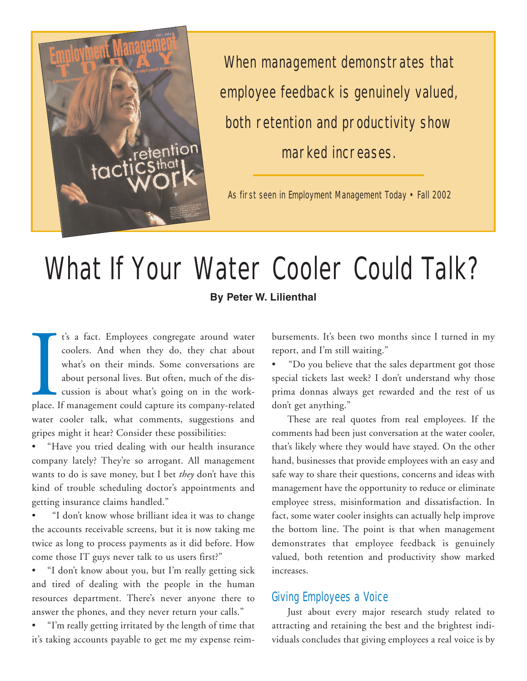

When management demonstrates that employee feedback is genuinely valued, both retention and productivity show marked increases.

As first seen in Employment Management Today • Fall 2002

## What If Your Water Cooler Could Talk?

**By Peter W. Lilienthal**

place. I t's a fact. Employees congregate around water coolers. And when they do, they chat about what's on their minds. Some conversations are about personal lives. But often, much of the discussion is about what's going on in the workplace. If management could capture its company-related water cooler talk, what comments, suggestions and gripes might it hear? Consider these possibilities:

• "Have you tried dealing with our health insurance company lately? They're so arrogant. All management wants to do is save money, but I bet *they* don't have this kind of trouble scheduling doctor's appointments and getting insurance claims handled."

• "I don't know whose brilliant idea it was to change the accounts receivable screens, but it is now taking me twice as long to process payments as it did before. How come those IT guys never talk to us users first?"

• "I don't know about you, but I'm really getting sick and tired of dealing with the people in the human resources department. There's never anyone there to answer the phones, and they never return your calls."

• "I'm really getting irritated by the length of time that it's taking accounts payable to get me my expense reimbursements. It's been two months since I turned in my report, and I'm still waiting."

• "Do you believe that the sales department got those special tickets last week? I don't understand why those prima donnas always get rewarded and the rest of us don't get anything."

These are real quotes from real employees. If the comments had been just conversation at the water cooler, that's likely where they would have stayed. On the other hand, businesses that provide employees with an easy and safe way to share their questions, concerns and ideas with management have the opportunity to reduce or eliminate employee stress, misinformation and dissatisfaction. In fact, some water cooler insights can actually help improve the bottom line. The point is that when management demonstrates that employee feedback is genuinely valued, both retention and productivity show marked increases.

## Giving Employees a Voice

Just about every major research study related to attracting and retaining the best and the brightest individuals concludes that giving employees a real voice is by